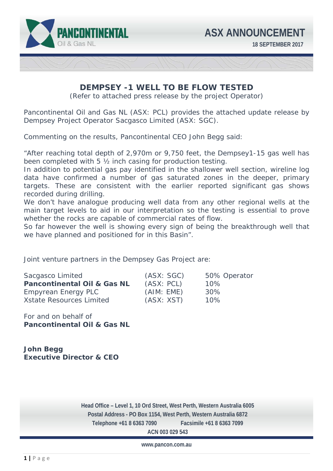

## **DEMPSEY -1 WELL TO BE FLOW TESTED**

(Refer to attached press release by the project Operator)

Pancontinental Oil and Gas NL (ASX: PCL) provides the attached update release by Dempsey Project Operator Sacgasco Limited (ASX: SGC).

Commenting on the results, Pancontinental CEO John Begg said:

*"After reaching total depth of 2,970m or 9,750 feet, the Dempsey1-15 gas well has been completed with 5 ½ inch casing for production testing.* 

In addition to potential gas pay identified in the shallower well section, wireline log *data have confirmed a number of gas saturated zones in the deeper, primary targets. These are consistent with the earlier reported significant gas shows recorded during drilling.* 

We don't have analogue producing well data from any other regional wells at the *main target levels to aid in our interpretation so the testing is essential to prove whether the rocks are capable of commercial rates of flow.* 

So far however the well is showing every sign of being the breakthrough well that *we have planned and positioned for in this Basin".* 

Joint venture partners in the Dempsey Gas Project are:

| Sacgasco Limited                       | (ASX: SGC) | 50% Operator |
|----------------------------------------|------------|--------------|
| <b>Pancontinental Oil &amp; Gas NL</b> | (ASX: PCL) | 10%          |
| Empyrean Energy PLC                    | (AIM: EME) | 30%          |
| <b>Xstate Resources Limited</b>        | (ASX: XST) | 10%          |

For and on behalf of **Pancontinental Oil & Gas NL** 

**John Begg Executive Director & CEO** 

 **Telephone +61 8 6363 7090 Facsimile +61 8 6363 7099 Head Office – Level 1, 10 Ord Street, West Perth, Western Australia 6005 Postal Address - PO Box 1154, West Perth, Western Australia 6872 ACN 003 029 543** 

**www.pancon.com.au**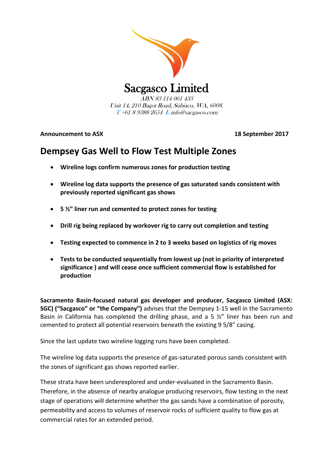

Unit 14, 210 Bagot Road, Subiaco, WA, 6008. T +61 8 9388 2654 E info@sacgasco.com

**Announcement to ASX 18 September 2017**

# **Dempsey Gas Well to Flow Test Multiple Zones**

- **Wireline logs confirm numerous zones for production testing**
- **Wireline log data supports the presence of gas saturated sands consistent with previously reported significant gas shows**
- **5 ½" liner run and cemented to protect zones for testing**
- **Drill rig being replaced by workover rig to carry out completion and testing**
- **Testing expected to commence in 2 to 3 weeks based on logistics of rig moves**
- **Tests to be conducted sequentially from lowest up (not in priority of interpreted significance ) and will cease once sufficient commercial flow is established for production**

**Sacramento Basin-focused natural gas developer and producer, Sacgasco Limited (ASX: SGC) ("Sacgasco" or "the Company")** advises that the Dempsey 1-15 well in the Sacramento Basin in California has completed the drilling phase, and a 5  $\frac{1}{2}$ " liner has been run and cemented to protect all potential reservoirs beneath the existing 9 5/8" casing.

Since the last update two wireline logging runs have been completed.

The wireline log data supports the presence of gas-saturated porous sands consistent with the zones of significant gas shows reported earlier.

These strata have been underexplored and under-evaluated in the Sacramento Basin. Therefore, in the absence of nearby analogue producing reservoirs, flow testing in the next stage of operations will determine whether the gas sands have a combination of porosity, permeability and access to volumes of reservoir rocks of sufficient quality to flow gas at commercial rates for an extended period.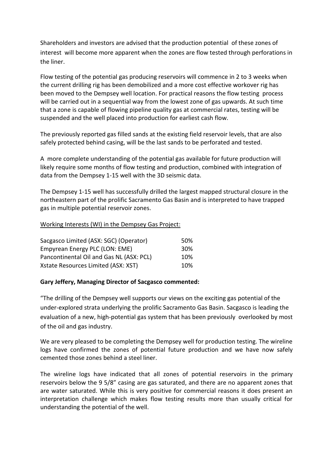Shareholders and investors are advised that the production potential of these zones of interest will become more apparent when the zones are flow tested through perforations in the liner.

Flow testing of the potential gas producing reservoirs will commence in 2 to 3 weeks when the current drilling rig has been demobilized and a more cost effective workover rig has been moved to the Dempsey well location. For practical reasons the flow testing process will be carried out in a sequential way from the lowest zone of gas upwards. At such time that a zone is capable of flowing pipeline quality gas at commercial rates, testing will be suspended and the well placed into production for earliest cash flow.

The previously reported gas filled sands at the existing field reservoir levels, that are also safely protected behind casing, will be the last sands to be perforated and tested.

A more complete understanding of the potential gas available for future production will likely require some months of flow testing and production, combined with integration of data from the Dempsey 1-15 well with the 3D seismic data.

The Dempsey 1-15 well has successfully drilled the largest mapped structural closure in the northeastern part of the prolific Sacramento Gas Basin and is interpreted to have trapped gas in multiple potential reservoir zones.

## Working Interests (WI) in the Dempsey Gas Project:

| Sacgasco Limited (ASX: SGC) (Operator)   | 50% |
|------------------------------------------|-----|
| Empyrean Energy PLC (LON: EME)           | 30% |
| Pancontinental Oil and Gas NL (ASX: PCL) | 10% |
| Xstate Resources Limited (ASX: XST)      | 10% |

## **Gary Jeffery, Managing Director of Sacgasco commented:**

"The drilling of the Dempsey well supports our views on the exciting gas potential of the under-explored strata underlying the prolific Sacramento Gas Basin. Sacgasco is leading the evaluation of a new, high-potential gas system that has been previously overlooked by most of the oil and gas industry.

We are very pleased to be completing the Dempsey well for production testing. The wireline logs have confirmed the zones of potential future production and we have now safely cemented those zones behind a steel liner.

The wireline logs have indicated that all zones of potential reservoirs in the primary reservoirs below the 9 5/8" casing are gas saturated, and there are no apparent zones that are water saturated. While this is very positive for commercial reasons it does present an interpretation challenge which makes flow testing results more than usually critical for understanding the potential of the well.